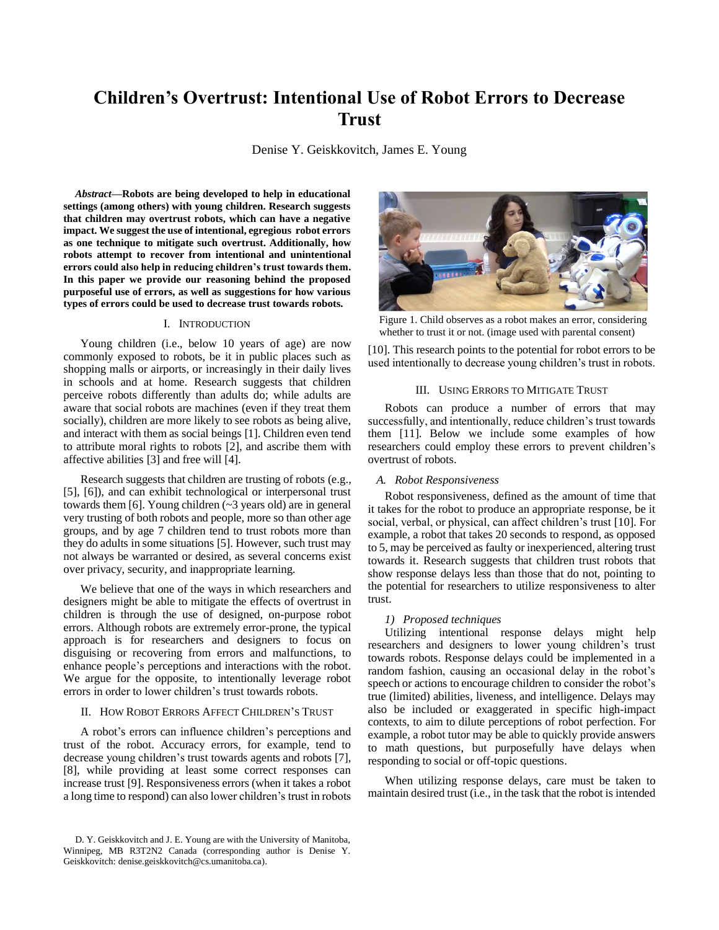# **Children's Overtrust: Intentional Use of Robot Errors to Decrease Trust**

Denise Y. Geiskkovitch, James E. Young

*Abstract***—Robots are being developed to help in educational settings (among others) with young children. Research suggests that children may overtrust robots, which can have a negative impact. We suggest the use of intentional, egregious robot errors as one technique to mitigate such overtrust. Additionally, how robots attempt to recover from intentional and unintentional errors could also help in reducing children's trust towards them. In this paper we provide our reasoning behind the proposed purposeful use of errors, as well as suggestions for how various types of errors could be used to decrease trust towards robots.**

## I. INTRODUCTION

Young children (i.e., below 10 years of age) are now commonly exposed to robots, be it in public places such as shopping malls or airports, or increasingly in their daily lives in schools and at home. Research suggests that children perceive robots differently than adults do; while adults are aware that social robots are machines (even if they treat them socially), children are more likely to see robots as being alive, and interact with them as social beings [1]. Children even tend to attribute moral rights to robots [2], and ascribe them with affective abilities [3] and free will [4].

Research suggests that children are trusting of robots (e.g., [5], [6]), and can exhibit technological or interpersonal trust towards them [6]. Young children (~3 years old) are in general very trusting of both robots and people, more so than other age groups, and by age 7 children tend to trust robots more than they do adults in some situations [5]. However, such trust may not always be warranted or desired, as several concerns exist over privacy, security, and inappropriate learning.

We believe that one of the ways in which researchers and designers might be able to mitigate the effects of overtrust in children is through the use of designed, on-purpose robot errors. Although robots are extremely error-prone, the typical approach is for researchers and designers to focus on disguising or recovering from errors and malfunctions, to enhance people's perceptions and interactions with the robot. We argue for the opposite, to intentionally leverage robot errors in order to lower children's trust towards robots.

### II. HOW ROBOT ERRORS AFFECT CHILDREN'S TRUST

A robot's errors can influence children's perceptions and trust of the robot. Accuracy errors, for example, tend to decrease young children's trust towards agents and robots [7], [8], while providing at least some correct responses can increase trust [9]. Responsiveness errors (when it takes a robot a long time to respond) can also lower children's trust in robots



Figure 1. Child observes as a robot makes an error, considering whether to trust it or not. (image used with parental consent)

[10]. This research points to the potential for robot errors to be used intentionally to decrease young children's trust in robots.

## III. USING ERRORS TO MITIGATE TRUST

Robots can produce a number of errors that may successfully, and intentionally, reduce children's trust towards them [11]. Below we include some examples of how researchers could employ these errors to prevent children's overtrust of robots.

## *A. Robot Responsiveness*

Robot responsiveness, defined as the amount of time that it takes for the robot to produce an appropriate response, be it social, verbal, or physical, can affect children's trust [10]. For example, a robot that takes 20 seconds to respond, as opposed to 5, may be perceived as faulty or inexperienced, altering trust towards it. Research suggests that children trust robots that show response delays less than those that do not, pointing to the potential for researchers to utilize responsiveness to alter trust.

#### *1) Proposed techniques*

Utilizing intentional response delays might help researchers and designers to lower young children's trust towards robots. Response delays could be implemented in a random fashion, causing an occasional delay in the robot's speech or actions to encourage children to consider the robot's true (limited) abilities, liveness, and intelligence. Delays may also be included or exaggerated in specific high-impact contexts, to aim to dilute perceptions of robot perfection. For example, a robot tutor may be able to quickly provide answers to math questions, but purposefully have delays when responding to social or off-topic questions.

When utilizing response delays, care must be taken to maintain desired trust (i.e., in the task that the robot is intended

D. Y. Geiskkovitch and J. E. Young are with the University of Manitoba, Winnipeg, MB R3T2N2 Canada (corresponding author is Denise Y. Geiskkovitch: denise.geiskkovitch@cs.umanitoba.ca).